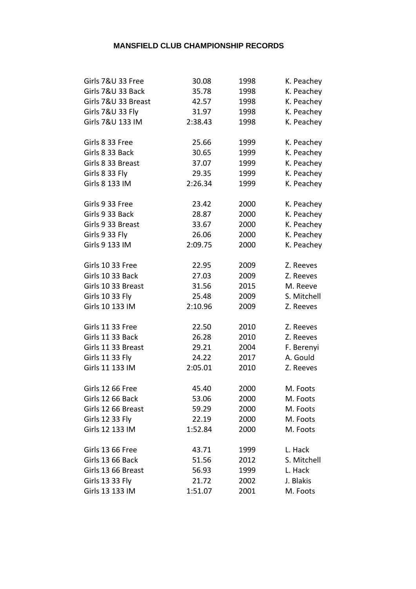| Girls 7&U 33 Free      | 30.08   | 1998 | K. Peachey  |
|------------------------|---------|------|-------------|
| Girls 7&U 33 Back      | 35.78   | 1998 | K. Peachey  |
| Girls 7&U 33 Breast    | 42.57   | 1998 | K. Peachey  |
| Girls 7&U 33 Fly       | 31.97   | 1998 | K. Peachey  |
| Girls 7&U 133 IM       | 2:38.43 | 1998 | K. Peachey  |
| Girls 8 33 Free        | 25.66   | 1999 | K. Peachey  |
| Girls 8 33 Back        | 30.65   | 1999 | K. Peachey  |
| Girls 8 33 Breast      | 37.07   | 1999 | K. Peachey  |
| Girls 8 33 Fly         | 29.35   | 1999 | K. Peachey  |
| Girls 8 133 IM         | 2:26.34 | 1999 | K. Peachey  |
| Girls 9 33 Free        | 23.42   | 2000 | K. Peachey  |
| Girls 9 33 Back        | 28.87   | 2000 | K. Peachey  |
| Girls 9 33 Breast      | 33.67   | 2000 | K. Peachey  |
| Girls 9 33 Fly         | 26.06   | 2000 | K. Peachey  |
| Girls 9 133 IM         | 2:09.75 | 2000 | K. Peachey  |
| Girls 10 33 Free       | 22.95   | 2009 | Z. Reeves   |
| Girls 10 33 Back       | 27.03   | 2009 | Z. Reeves   |
| Girls 10 33 Breast     | 31.56   | 2015 | M. Reeve    |
| <b>Girls 10 33 Fly</b> | 25.48   | 2009 | S. Mitchell |
| Girls 10 133 IM        | 2:10.96 | 2009 | Z. Reeves   |
| Girls 11 33 Free       | 22.50   | 2010 | Z. Reeves   |
| Girls 11 33 Back       | 26.28   | 2010 | Z. Reeves   |
| Girls 11 33 Breast     | 29.21   | 2004 | F. Berenyi  |
| <b>Girls 11 33 Fly</b> | 24.22   | 2017 | A. Gould    |
| Girls 11 133 IM        | 2:05.01 | 2010 | Z. Reeves   |
| Girls 12 66 Free       | 45.40   | 2000 | M. Foots    |
| Girls 12 66 Back       | 53.06   | 2000 | M. Foots    |
| Girls 12 66 Breast     | 59.29   | 2000 | M. Foots    |
| <b>Girls 12 33 Fly</b> | 22.19   | 2000 | M. Foots    |
| Girls 12 133 IM        | 1:52.84 | 2000 | M. Foots    |
| Girls 13 66 Free       | 43.71   | 1999 | L. Hack     |
| Girls 13 66 Back       | 51.56   | 2012 | S. Mitchell |
| Girls 13 66 Breast     | 56.93   | 1999 | L. Hack     |
| Girls 13 33 Fly        | 21.72   | 2002 | J. Blakis   |
| Girls 13 133 IM        | 1:51.07 | 2001 | M. Foots    |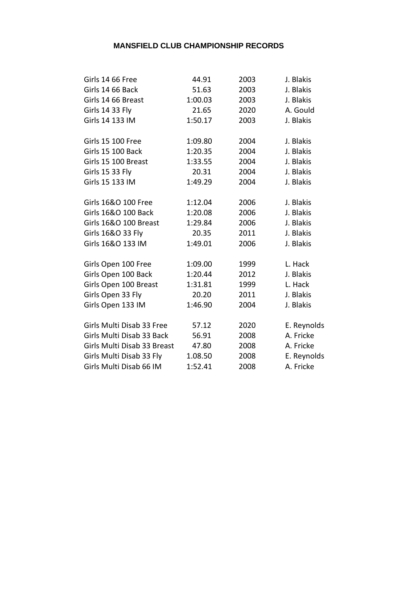| Girls 14 66 Free            | 44.91   | 2003 | J. Blakis   |
|-----------------------------|---------|------|-------------|
| Girls 14 66 Back            | 51.63   | 2003 | J. Blakis   |
| Girls 14 66 Breast          | 1:00.03 | 2003 | J. Blakis   |
| Girls 14 33 Fly             | 21.65   | 2020 | A. Gould    |
| Girls 14 133 IM             | 1:50.17 | 2003 | J. Blakis   |
| <b>Girls 15 100 Free</b>    | 1:09.80 | 2004 | J. Blakis   |
| <b>Girls 15 100 Back</b>    | 1:20.35 | 2004 | J. Blakis   |
| Girls 15 100 Breast         | 1:33.55 | 2004 | J. Blakis   |
| <b>Girls 15 33 Fly</b>      | 20.31   | 2004 | J. Blakis   |
| Girls 15 133 IM             | 1:49.29 | 2004 | J. Blakis   |
| Girls 16&O 100 Free         | 1:12.04 | 2006 | J. Blakis   |
| Girls 16&O 100 Back         | 1:20.08 | 2006 | J. Blakis   |
| Girls 16&O 100 Breast       | 1:29.84 | 2006 | J. Blakis   |
| Girls 16&O 33 Fly           | 20.35   | 2011 | J. Blakis   |
| Girls 16&O 133 IM           | 1:49.01 | 2006 | J. Blakis   |
| Girls Open 100 Free         | 1:09.00 | 1999 | L. Hack     |
| Girls Open 100 Back         | 1:20.44 | 2012 | J. Blakis   |
| Girls Open 100 Breast       | 1:31.81 | 1999 | L. Hack     |
| Girls Open 33 Fly           | 20.20   | 2011 | J. Blakis   |
| Girls Open 133 IM           | 1:46.90 | 2004 | J. Blakis   |
| Girls Multi Disab 33 Free   | 57.12   | 2020 | E. Reynolds |
| Girls Multi Disab 33 Back   | 56.91   | 2008 | A. Fricke   |
| Girls Multi Disab 33 Breast | 47.80   | 2008 | A. Fricke   |
| Girls Multi Disab 33 Fly    | 1.08.50 | 2008 | E. Reynolds |
| Girls Multi Disab 66 IM     | 1:52.41 | 2008 | A. Fricke   |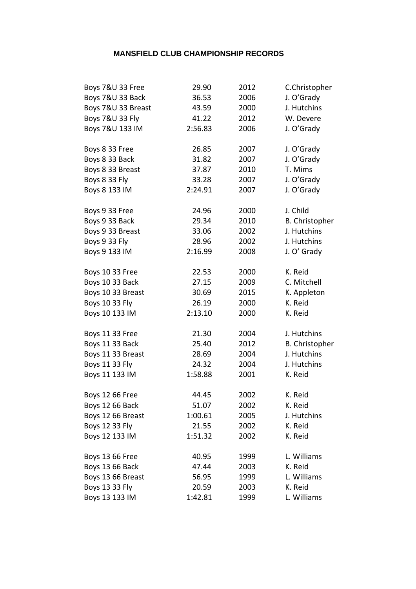| 29.90   | 2012  | C.Christopher         |
|---------|-------|-----------------------|
| 36.53   | 2006  | J. O'Grady            |
| 43.59   | 2000  | J. Hutchins           |
| 41.22   | 2012  | W. Devere             |
| 2:56.83 | 2006  | J. O'Grady            |
| 26.85   | 2007  | J. O'Grady            |
| 31.82   | 2007  | J. O'Grady            |
| 37.87   | 2010  | T. Mims               |
| 33.28   | 2007  | J. O'Grady            |
| 2:24.91 | 2007  | J. O'Grady            |
| 24.96   | 2000  | J. Child              |
| 29.34   | 2010  | B. Christopher        |
| 33.06   | 2002  | J. Hutchins           |
| 28.96   | 2002  | J. Hutchins           |
| 2:16.99 | 2008  | J. O' Grady           |
| 22.53   | 2000  | K. Reid               |
|         |       | C. Mitchell           |
| 30.69   | 2015  | K. Appleton           |
| 26.19   | 2000  | K. Reid               |
| 2:13.10 | 2000  | K. Reid               |
| 21.30   | 2004  | J. Hutchins           |
| 25.40   | 2012  | <b>B.</b> Christopher |
| 28.69   | 2004  | J. Hutchins           |
| 24.32   | 2004  | J. Hutchins           |
| 1:58.88 | 2001  | K. Reid               |
| 44.45   | 2002  | K. Reid               |
| 51.07   | 2002  | K. Reid               |
| 1:00.61 | 2005  | J. Hutchins           |
| 21.55   | 2002  | K. Reid               |
| 1:51.32 | 2002  | K. Reid               |
| 40.95   | 1999  | L. Williams           |
| 47.44   | 2003  | K. Reid               |
| 56.95   | 1999  | L. Williams           |
| 20.59   | 2003  | K. Reid               |
| 1:42.81 | 1999  | L. Williams           |
|         | 27.15 | 2009                  |